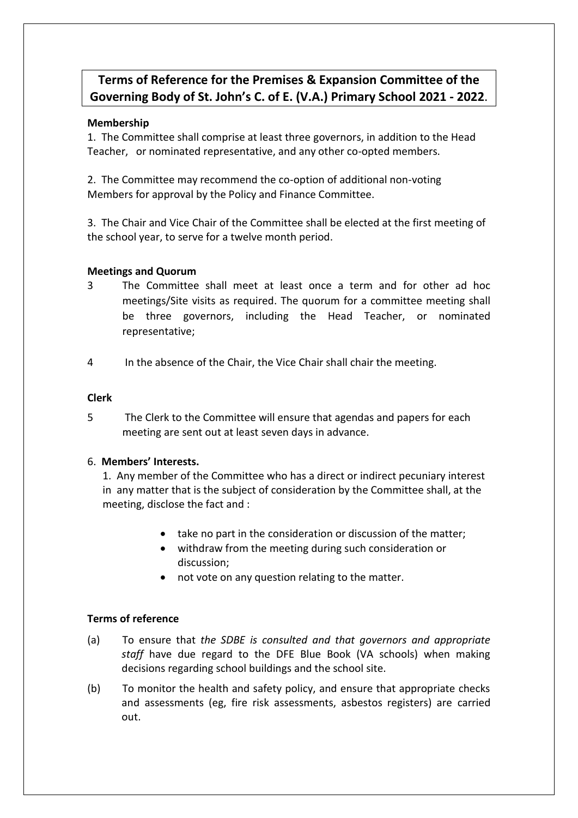# **Terms of Reference for the Premises & Expansion Committee of the Governing Body of St. John's C. of E. (V.A.) Primary School 2021 - 2022**.

# **Membership**

1. The Committee shall comprise at least three governors, in addition to the Head Teacher, or nominated representative, and any other co-opted members.

2. The Committee may recommend the co-option of additional non-voting Members for approval by the Policy and Finance Committee.

3. The Chair and Vice Chair of the Committee shall be elected at the first meeting of the school year, to serve for a twelve month period.

# **Meetings and Quorum**

- 3 The Committee shall meet at least once a term and for other ad hoc meetings/Site visits as required. The quorum for a committee meeting shall be three governors, including the Head Teacher, or nominated representative;
- 4 In the absence of the Chair, the Vice Chair shall chair the meeting.

### **Clerk**

5 The Clerk to the Committee will ensure that agendas and papers for each meeting are sent out at least seven days in advance.

### 6. **Members' Interests.**

1. Any member of the Committee who has a direct or indirect pecuniary interest in any matter that is the subject of consideration by the Committee shall, at the meeting, disclose the fact and :

- take no part in the consideration or discussion of the matter;
- withdraw from the meeting during such consideration or discussion;
- not vote on any question relating to the matter.

### **Terms of reference**

- (a) To ensure that *the SDBE is consulted and that governors and appropriate staff* have due regard to the DFE Blue Book (VA schools) when making decisions regarding school buildings and the school site.
- (b) To monitor the health and safety policy, and ensure that appropriate checks and assessments (eg, fire risk assessments, asbestos registers) are carried out.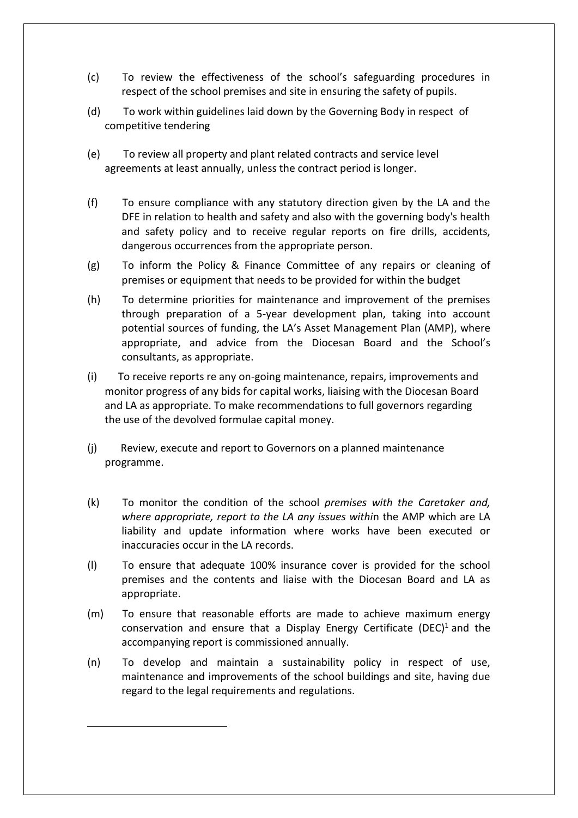- (c) To review the effectiveness of the school's safeguarding procedures in respect of the school premises and site in ensuring the safety of pupils.
- (d) To work within guidelines laid down by the Governing Body in respect of competitive tendering
- (e) To review all property and plant related contracts and service level agreements at least annually, unless the contract period is longer.
- (f) To ensure compliance with any statutory direction given by the LA and the DFE in relation to health and safety and also with the governing body's health and safety policy and to receive regular reports on fire drills, accidents, dangerous occurrences from the appropriate person.
- (g) To inform the Policy & Finance Committee of any repairs or cleaning of premises or equipment that needs to be provided for within the budget
- (h) To determine priorities for maintenance and improvement of the premises through preparation of a 5-year development plan, taking into account potential sources of funding, the LA's Asset Management Plan (AMP), where appropriate, and advice from the Diocesan Board and the School's consultants, as appropriate.
- (i) To receive reports re any on-going maintenance, repairs, improvements and monitor progress of any bids for capital works, liaising with the Diocesan Board and LA as appropriate. To make recommendations to full governors regarding the use of the devolved formulae capital money.
- (j) Review, execute and report to Governors on a planned maintenance programme.
- (k) To monitor the condition of the school *premises with the Caretaker and, where appropriate, report to the LA any issues withi*n the AMP which are LA liability and update information where works have been executed or inaccuracies occur in the LA records.
- (l) To ensure that adequate 100% insurance cover is provided for the school premises and the contents and liaise with the Diocesan Board and LA as appropriate.
- (m) To ensure that reasonable efforts are made to achieve maximum energy conservation and ensure that a Display Energy Certificate (DEC)<sup>1</sup> and the accompanying report is commissioned annually.
- (n) To develop and maintain a sustainability policy in respect of use, maintenance and improvements of the school buildings and site, having due regard to the legal requirements and regulations.

-